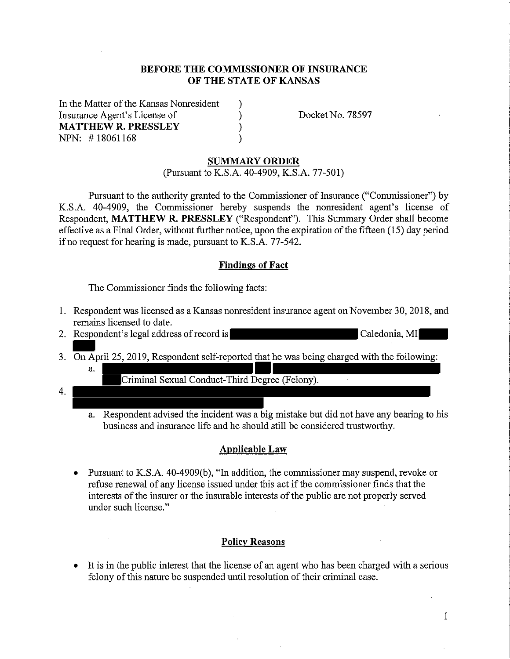## **BEFORE THE COMMISSIONER OF INSURANCE OF THE STATE OF KANSAS**

) ) ) )

In the Matter of the Kansas Nonresident Insurance Agent's License of **MATTHEW R. PRESSLEY**  NPN: # 18061168

Docket No. 78597

#### **SUMMARY ORDER**

(Pursuant to K.S.A. 40-4909, K.S.A. 77-501)

Pursuant to the authority granted to the Commissioner of Insurance ("Commissioner") by K.S.A. 40-4909, the Commissioner hereby suspends the nonresident agent's license of Respondent, **MATTHEW R. PRESSLEY** ("Respondent"). This Summary Order shall become effective as a Final Order, without further notice, upon the expiration of the fifteen (15) day period ifno request for hearing is made, pursuant to K.S.A. 77-542.

### **Findings of Fact**

The Commissioner finds the following facts:

- 1. Respondent was licensed as a Kansas nonresident insurance agent on November 30, 2018, and remains licensed to date.
- 2. Respondent's legal address of record is Caledonia, MI
- 3. On April 25, 2019, Respondent self-reported that he was being charged with the following: a.
	- Criminal Sexual Conduct-Third Degree (Felony).
- 4.
- a. Respondent advised the incident was a big mistake but did not have any bearing to his business and insurance life and he should still be considered trustworthy.

### **Applicable Law**

• Pursuant to K.S.A. 40-4909(b), "In addition, the commissioner may suspend, revoke or refuse renewal of any license issued under this act if the commissioner finds that the interests of the insurer or the insurable interests of the public are not properly served under such license."

## **Policy Reasons**

• It is in the public interest that the license of an agent who has been charged with a serious felony of this nature be suspended until resolution of their criminal case.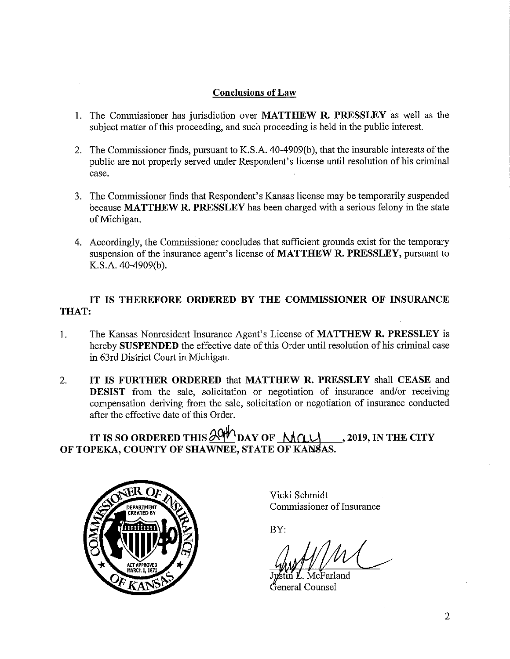# **Conclusions of Law**

- 1. The Commissioner has jurisdiction over **MATTHEW R. PRESSLEY** as well as the subject matter of this proceeding, and such proceeding is held in the public interest.
- 2. The Commissioner finds, pursuant to K.S.A. 40-4909(b), that the insurable interests of the public are not properly served under Respondent's license until resolution of his criminal case.
- 3. The Commissioner finds that Respondent's Kansas license may be temporarily suspended because **MATTHEW R. PRESSLEY** has been charged with a serious felony in the state of Michigan.
- 4. Accordingly, the Commissioner concludes that sufficient grounds exist for the temporary suspension of the insurance agent's license of **MATTHEW R. PRESSLEY,** pursuant to K.S.A. 40-4909(b).

# **IT IS THEREFORE ORDERED BY THE COMMISSIONER OF INSURANCE THAT:**

- 1. The Kansas Nonresident Insurance Agent's License of **MATTHEW R. PRESSLEY** is hereby **SUSPENDED** the effective date of this Order until resolution of his criminal case in 63rd District Court in Michigan.
- 2. **IT IS FURTHER ORDERED** that **MATTHEW R. PRESSLEY** shall **CEASE** and **DESIST** from the sale, solicitation or negotiation of insurance and/or receiving compensation deriving from the sale, solicitation or negotiation of insurance conducted after the effective date of this Order.

IT IS SO ORDERED THIS  $\frac{\partial Q \mathbf{W}}{\partial \mathbf{A}}$  day of  $\mathbf{M}\mathbf{Q}\mathbf{U}$  , 2019, IN THE CITY **OF TOPEKA, COUNTY OF SHAWNEE, STATE OF KANSAS.** 



Vicki Schmidt Commissioner of Insurance

BY:

seneral Counsel